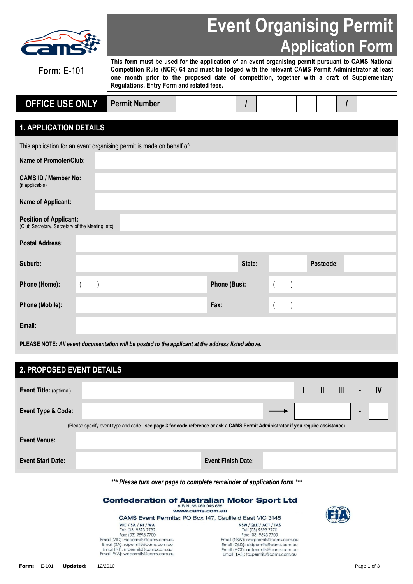| I I |  |
|-----|--|

## **Event Organising Permit Application Form**

**Form:** E-101

**This form must be used for the application of an event organising permit pursuant to CAMS National Competition Rule (NCR) 64 and must be lodged with the relevant CAMS Permit Administrator at least one month prior to the proposed date of competition, together with a draft of Supplementary Regulations, Entry Form and related fees.**

| <b>OFFICE USE ONLY</b> | Permit<br>Number |  |  |  |  |  |  |
|------------------------|------------------|--|--|--|--|--|--|

### **1. APPLICATION DETAILS**

This application for an event organising permit is made on behalf of:

| <b>Name of Promoter/Club:</b>                                                    |  |  |              |        |  |           |  |
|----------------------------------------------------------------------------------|--|--|--------------|--------|--|-----------|--|
| <b>CAMS ID / Member No:</b><br>(if applicable)                                   |  |  |              |        |  |           |  |
| <b>Name of Applicant:</b>                                                        |  |  |              |        |  |           |  |
| <b>Position of Applicant:</b><br>(Club Secretary, Secretary of the Meeting, etc) |  |  |              |        |  |           |  |
| <b>Postal Address:</b>                                                           |  |  |              |        |  |           |  |
| Suburb:                                                                          |  |  |              | State: |  | Postcode: |  |
| Phone (Home):                                                                    |  |  | Phone (Bus): |        |  |           |  |
| Phone (Mobile):                                                                  |  |  | Fax:         |        |  |           |  |
| Email:                                                                           |  |  |              |        |  |           |  |

**PLEASE NOTE:** *All event documentation will be posted to the applicant at the address listed above.*

Email (WA): wapermits@cams.com.au

| 2. PROPOSED EVENT DETAILS      |                                                                                                                                   |                                            |  |   |                |           |
|--------------------------------|-----------------------------------------------------------------------------------------------------------------------------------|--------------------------------------------|--|---|----------------|-----------|
|                                |                                                                                                                                   |                                            |  |   |                |           |
| <b>Event Title: (optional)</b> |                                                                                                                                   |                                            |  | Ш | $\mathbf{III}$ | <b>IV</b> |
|                                |                                                                                                                                   |                                            |  |   |                |           |
| <b>Event Type &amp; Code:</b>  |                                                                                                                                   |                                            |  |   |                |           |
|                                |                                                                                                                                   |                                            |  |   |                |           |
|                                | (Please specify event type and code - see page 3 for code reference or ask a CAMS Permit Administrator if you require assistance) |                                            |  |   |                |           |
| <b>Event Venue:</b>            |                                                                                                                                   |                                            |  |   |                |           |
|                                |                                                                                                                                   |                                            |  |   |                |           |
| <b>Event Start Date:</b>       |                                                                                                                                   | <b>Event Finish Date:</b>                  |  |   |                |           |
|                                |                                                                                                                                   |                                            |  |   |                |           |
|                                |                                                                                                                                   |                                            |  |   |                |           |
|                                | *** Please turn over page to complete remainder of application form ***                                                           |                                            |  |   |                |           |
|                                |                                                                                                                                   |                                            |  |   |                |           |
|                                | <b>Confederation of Australian Motor Sport Ltd</b>                                                                                | A.B.N. 55 069 045 665                      |  |   |                |           |
|                                |                                                                                                                                   | www.cams.com.au                            |  |   |                |           |
|                                | CAMS Event Permits: PO Box 147, Caulfield East VIC 3145                                                                           |                                            |  |   |                |           |
|                                | VIC / SA / NT / WA                                                                                                                | NSW/QLD/ACT/TAS                            |  |   |                |           |
|                                | Tel: (03) 9593 7732<br>Fax: (03) 9593 7700                                                                                        | Tel: (03) 9593 7770<br>Fax: (03) 9593 7700 |  |   |                |           |
|                                | Email (VIC): vicpermits@cams.com.au                                                                                               | Email (NSW): nswpermits@cams.com.au        |  |   |                |           |
|                                | Email (SA): sapermits@cams.com.au                                                                                                 | Email (QLD): gldpermits@cams.com.au        |  |   |                |           |
|                                | Email (NT): ntpermits@cams.com.au                                                                                                 | Email (ACT): actpermits@cams.com.au        |  |   |                |           |

Email (TAS): taspermits@cams.com.au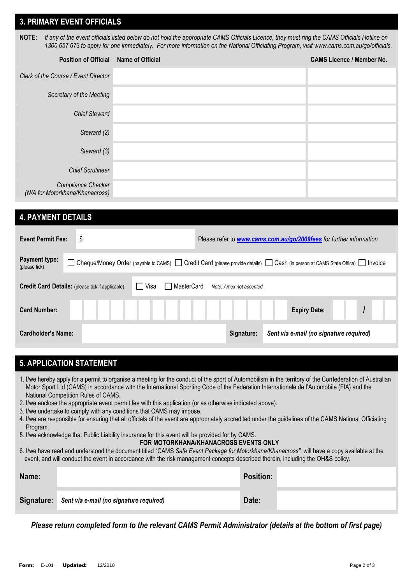#### **3. PRIMARY EVENT OFFICIALS**

**NOTE:** *If any of the event officials listed below do not hold the appropriate CAMS Officials Licence, they must ring the CAMS Officials Hotline on 1300 657 673 to apply for one immediately. For more information on the National Officiating Program, visit [www.cams.com.au/go/officials.](http://www.cams.com.au/go/officials)*

| <b>Position of Official</b>                           | <b>Name of Official</b> | <b>CAMS Licence / Member No.</b> |
|-------------------------------------------------------|-------------------------|----------------------------------|
| Clerk of the Course / Event Director                  |                         |                                  |
| Secretary of the Meeting                              |                         |                                  |
| <b>Chief Steward</b>                                  |                         |                                  |
| Steward (2)                                           |                         |                                  |
| Steward (3)                                           |                         |                                  |
| <b>Chief Scrutineer</b>                               |                         |                                  |
| Compliance Checker<br>(N/A for Motorkhana/Khanacross) |                         |                                  |

#### **4. PAYMENT DETAILS**

| <b>Event Permit Fee:</b>       | \$                                                      |                      |                         | Please refer to <b>www.cams.com.au/go/2009fees</b> for further information.                                             |  |
|--------------------------------|---------------------------------------------------------|----------------------|-------------------------|-------------------------------------------------------------------------------------------------------------------------|--|
| Payment type:<br>(please tick) |                                                         |                      |                         | Cheque/Money Order (payable to CAMS) Credit Card (please provide details) Cash (in person at CAMS State Office) Invoice |  |
|                                | <b>Credit Card Details:</b> (please tick if applicable) | ⊟ Visa<br>MasterCard | Note: Amex not accepted |                                                                                                                         |  |
| <b>Card Number:</b>            |                                                         |                      |                         | <b>Expiry Date:</b>                                                                                                     |  |
| Cardholder's Name:             |                                                         |                      | Signature:              | Sent via e-mail (no signature required)                                                                                 |  |

### **5. APPLICATION STATEMENT**

- 1. I/we hereby apply for a permit to organise a meeting for the conduct of the sport of Automobilism in the territory of the Confederation of Australian Motor Sport Ltd (CAMS) in accordance with the International Sporting Code of the Federation Internationale de l'Automobile (FIA) and the National Competition Rules of CAMS.
- 2. I/we enclose the appropriate event permit fee with this application (or as otherwise indicated above).
- 3. I/we undertake to comply with any conditions that CAMS may impose.
- 4. I/we are responsible for ensuring that all officials of the event are appropriately accredited under the guidelines of the CAMS National Officiating Program.
- 5. I/we acknowledge that Public Liability insurance for this event will be provided for by CAMS.

#### **FOR MOTORKHANA/KHANACROSS EVENTS ONLY**

6. I/we have read and understood the document titled "CAMS *Safe Event Package for Motorkhana/Khanacross",* will have a copy available at the event, and will conduct the event in accordance with the risk management concepts described therein, including the OH&S policy.

| Name: |                                                    | <b>Position:</b> |  |
|-------|----------------------------------------------------|------------------|--|
|       | Signature: Sent via e-mail (no signature required) | Date:            |  |

*Please return completed form to the relevant CAMS Permit Administrator (details at the bottom of first page)*